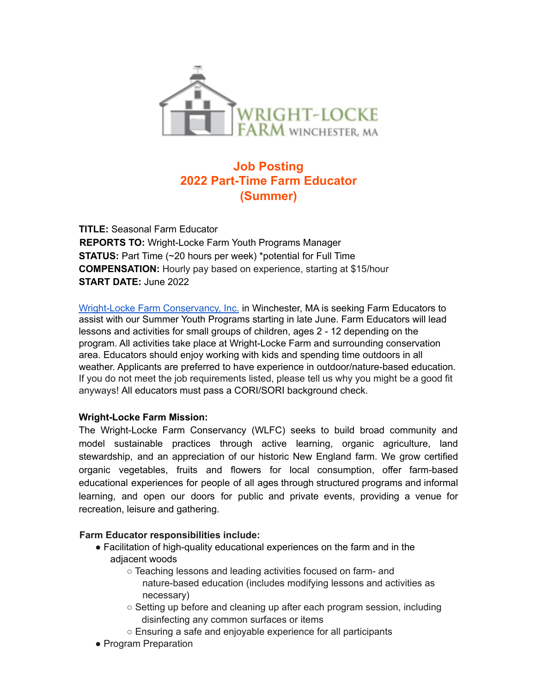

# **Job Posting 2022 Part-Time Farm Educator (Summer)**

**TITLE:** Seasonal Farm Educator **REPORTS TO:** Wright-Locke Farm Youth Programs Manager **STATUS:** Part Time (~20 hours per week) \*potential for Full Time **COMPENSATION:** Hourly pay based on experience, starting at \$15/hour **START DATE:** June 2022

Wright-Locke Farm Conservancy, Inc. in Winchester, MA is seeking Farm Educators to assist with our Summer Youth Programs starting in late June. Farm Educators will lead lessons and activities for small groups of children, ages 2 - 12 depending on the program. All activities take place at Wright-Locke Farm and surrounding conservation area. Educators should enjoy working with kids and spending time outdoors in all weather. Applicants are preferred to have experience in outdoor/nature-based education. If you do not meet the job requirements listed, please tell us why you might be a good fit anyways! All educators must pass a CORI/SORI background check.

### **Wright-Locke Farm Mission:**

The Wright-Locke Farm Conservancy (WLFC) seeks to build broad community and model sustainable practices through active learning, organic agriculture, land stewardship, and an appreciation of our historic New England farm. We grow certified organic vegetables, fruits and flowers for local consumption, offer farm-based educational experiences for people of all ages through structured programs and informal learning, and open our doors for public and private events, providing a venue for recreation, leisure and gathering.

### **Farm Educator responsibilities include:**

- Facilitation of high-quality educational experiences on the farm and in the adjacent woods
	- Teaching lessons and leading activities focused on farm- and nature-based education (includes modifying lessons and activities as necessary)
	- $\circ$  Setting up before and cleaning up after each program session, including disinfecting any common surfaces or items
	- Ensuring a safe and enjoyable experience for all participants
- Program Preparation